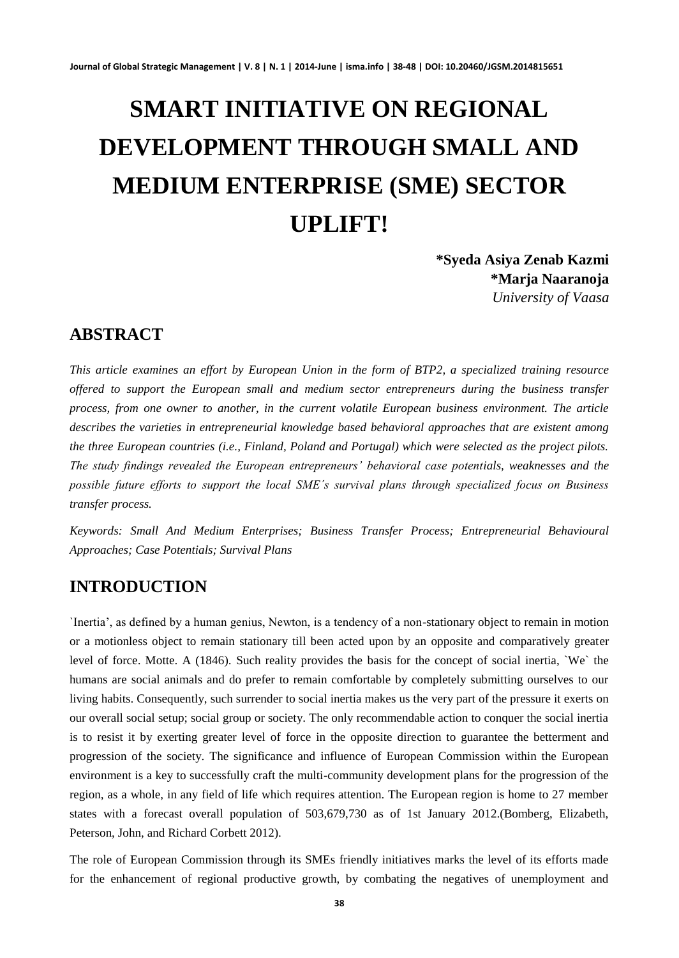# **SMART INITIATIVE ON REGIONAL DEVELOPMENT THROUGH SMALL AND MEDIUM ENTERPRISE (SME) SECTOR UPLIFT!**

**\*Syeda Asiya Zenab Kazmi \*Marja Naaranoja** *University of Vaasa*

# **ABSTRACT**

*This article examines an effort by European Union in the form of BTP2, a specialized training resource offered to support the European small and medium sector entrepreneurs during the business transfer process, from one owner to another, in the current volatile European business environment. The article describes the varieties in entrepreneurial knowledge based behavioral approaches that are existent among the three European countries (i.e., Finland, Poland and Portugal) which were selected as the project pilots. The study findings revealed the European entrepreneurs' behavioral case potentials, weaknesses and the possible future efforts to support the local SME´s survival plans through specialized focus on Business transfer process.* 

*Keywords: Small And Medium Enterprises; Business Transfer Process; Entrepreneurial Behavioural Approaches; Case Potentials; Survival Plans* 

# **INTRODUCTION**

`Inertia', as defined by a human genius, Newton, is a tendency of a non-stationary object to remain in motion or a motionless object to remain stationary till been acted upon by an opposite and comparatively greater level of force. Motte. A (1846). Such reality provides the basis for the concept of social inertia, `We` the humans are social animals and do prefer to remain comfortable by completely submitting ourselves to our living habits. Consequently, such surrender to social inertia makes us the very part of the pressure it exerts on our overall social setup; social group or society. The only recommendable action to conquer the social inertia is to resist it by exerting greater level of force in the opposite direction to guarantee the betterment and progression of the society. The significance and influence of European Commission within the European environment is a key to successfully craft the multi-community development plans for the progression of the region, as a whole, in any field of life which requires attention. The European region is home to 27 member states with a forecast overall population of 503,679,730 as of 1st January 2012.(Bomberg, Elizabeth, Peterson, John, and Richard Corbett 2012).

The role of European Commission through its SMEs friendly initiatives marks the level of its efforts made for the enhancement of regional productive growth, by combating the negatives of unemployment and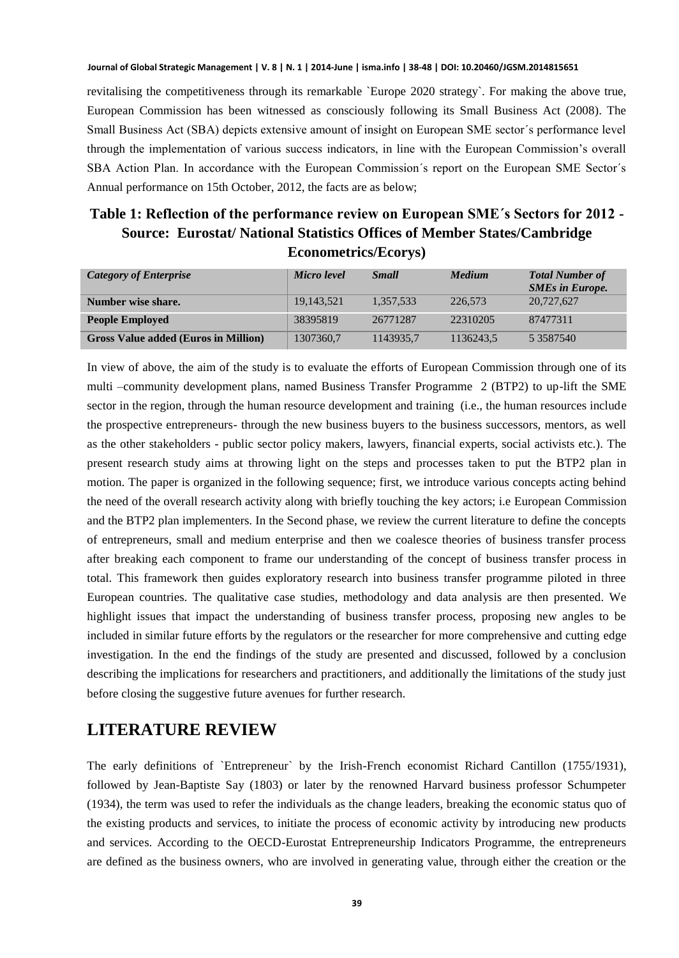revitalising the competitiveness through its remarkable `Europe 2020 strategy`. For making the above true, European Commission has been witnessed as consciously following its Small Business Act (2008). The Small Business Act (SBA) depicts extensive amount of insight on European SME sector´s performance level through the implementation of various success indicators, in line with the European Commission's overall SBA Action Plan. In accordance with the European Commission´s report on the European SME Sector´s Annual performance on 15th October, 2012, the facts are as below;

# **Table 1: Reflection of the performance review on European SME´s Sectors for 2012 - Source: Eurostat/ National Statistics Offices of Member States/Cambridge Econometrics/Ecorys)**

| Category of Enterprise                      | Micro level | <b>Small</b> | <b>Medium</b> | <b>Total Number of</b><br><b>SMEs in Europe.</b> |
|---------------------------------------------|-------------|--------------|---------------|--------------------------------------------------|
| Number wise share.                          | 19,143,521  | 1.357.533    | 226,573       | 20,727,627                                       |
| <b>People Employed</b>                      | 38395819    | 26771287     | 22310205      | 87477311                                         |
| <b>Gross Value added (Euros in Million)</b> | 1307360.7   | 1143935.7    | 1136243.5     | 5 3 5 8 7 5 4 0                                  |

In view of above, the aim of the study is to evaluate the efforts of European Commission through one of its multi –community development plans, named Business Transfer Programme 2 (BTP2) to up-lift the SME sector in the region, through the human resource development and training (i.e., the human resources include the prospective entrepreneurs- through the new business buyers to the business successors, mentors, as well as the other stakeholders - public sector policy makers, lawyers, financial experts, social activists etc.). The present research study aims at throwing light on the steps and processes taken to put the BTP2 plan in motion. The paper is organized in the following sequence; first, we introduce various concepts acting behind the need of the overall research activity along with briefly touching the key actors; i.e European Commission and the BTP2 plan implementers. In the Second phase, we review the current literature to define the concepts of entrepreneurs, small and medium enterprise and then we coalesce theories of business transfer process after breaking each component to frame our understanding of the concept of business transfer process in total. This framework then guides exploratory research into business transfer programme piloted in three European countries. The qualitative case studies, methodology and data analysis are then presented. We highlight issues that impact the understanding of business transfer process, proposing new angles to be included in similar future efforts by the regulators or the researcher for more comprehensive and cutting edge investigation. In the end the findings of the study are presented and discussed, followed by a conclusion describing the implications for researchers and practitioners, and additionally the limitations of the study just before closing the suggestive future avenues for further research.

# **LITERATURE REVIEW**

The early definitions of `Entrepreneur` by the Irish-French economist Richard Cantillon (1755/1931), followed by Jean-Baptiste Say (1803) or later by the renowned Harvard business professor Schumpeter (1934), the term was used to refer the individuals as the change leaders, breaking the economic status quo of the existing products and services, to initiate the process of economic activity by introducing new products and services. According to the OECD-Eurostat Entrepreneurship Indicators Programme, the entrepreneurs are defined as the business owners, who are involved in generating value, through either the creation or the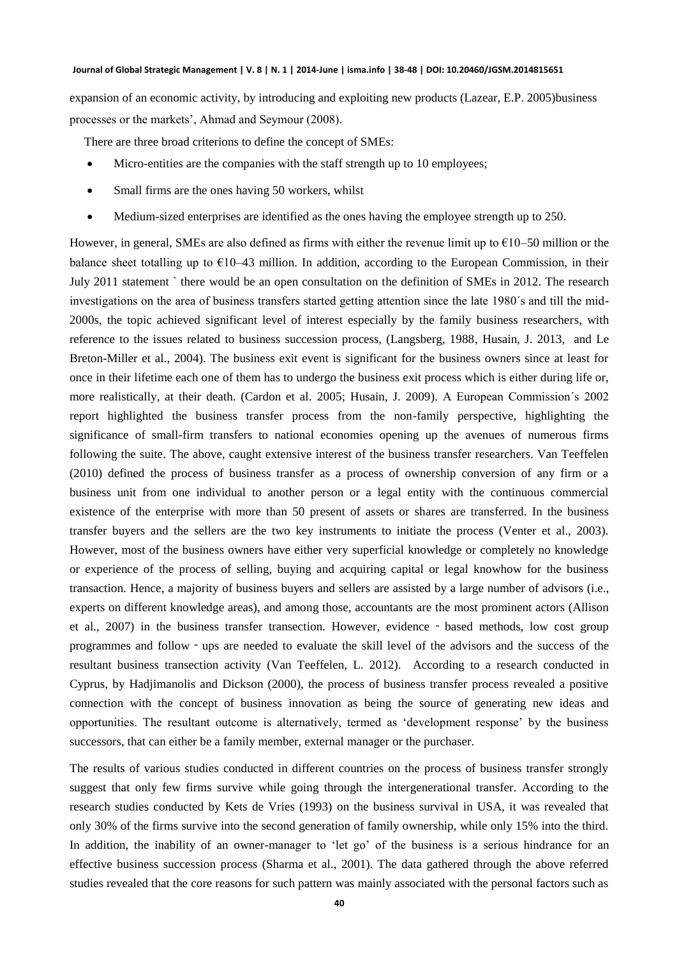expansion of an economic activity, by introducing and exploiting new products (Lazear, E.P. 2005)business processes or the markets', Ahmad and Seymour (2008).

There are three broad criterions to define the concept of SMEs:

- Micro-entities are the companies with the staff strength up to 10 employees;
- Small firms are the ones having 50 workers, whilst
- Medium-sized enterprises are identified as the ones having the employee strength up to 250.

However, in general, SMEs are also defined as firms with either the revenue limit up to  $\epsilon$ 10–50 million or the balance sheet totalling up to €10–43 million. In addition, according to the European Commission, in their July 2011 statement ` there would be an open consultation on the definition of SMEs in 2012. The research investigations on the area of business transfers started getting attention since the late 1980´s and till the mid-2000s, the topic achieved significant level of interest especially by the family business researchers, with reference to the issues related to business succession process, (Langsberg, 1988, Husain, J. 2013, and Le Breton-Miller et al., 2004). The business exit event is significant for the business owners since at least for once in their lifetime each one of them has to undergo the business exit process which is either during life or, more realistically, at their death. (Cardon et al. 2005; Husain, J. 2009). A European Commission´s 2002 report highlighted the business transfer process from the non-family perspective, highlighting the significance of small-firm transfers to national economies opening up the avenues of numerous firms following the suite. The above, caught extensive interest of the business transfer researchers. Van Teeffelen (2010) defined the process of business transfer as a process of ownership conversion of any firm or a business unit from one individual to another person or a legal entity with the continuous commercial existence of the enterprise with more than 50 present of assets or shares are transferred. In the business transfer buyers and the sellers are the two key instruments to initiate the process (Venter et al., 2003). However, most of the business owners have either very superficial knowledge or completely no knowledge or experience of the process of selling, buying and acquiring capital or legal knowhow for the business transaction. Hence, a majority of business buyers and sellers are assisted by a large number of advisors (i.e., experts on different knowledge areas), and among those, accountants are the most prominent actors (Allison et al., 2007) in the business transfer transection. However, evidence - based methods, low cost group programmes and follow‐ups are needed to evaluate the skill level of the advisors and the success of the resultant business transection activity (Van Teeffelen, L. 2012). According to a research conducted in Cyprus, by Hadjimanolis and Dickson (2000), the process of business transfer process revealed a positive connection with the concept of business innovation as being the source of generating new ideas and opportunities. The resultant outcome is alternatively, termed as 'development response' by the business successors, that can either be a family member, external manager or the purchaser.

The results of various studies conducted in different countries on the process of business transfer strongly suggest that only few firms survive while going through the intergenerational transfer. According to the research studies conducted by Kets de Vries (1993) on the business survival in USA, it was revealed that only 30% of the firms survive into the second generation of family ownership, while only 15% into the third. In addition, the inability of an owner-manager to 'let go' of the business is a serious hindrance for an effective business succession process (Sharma et al., 2001). The data gathered through the above referred studies revealed that the core reasons for such pattern was mainly associated with the personal factors such as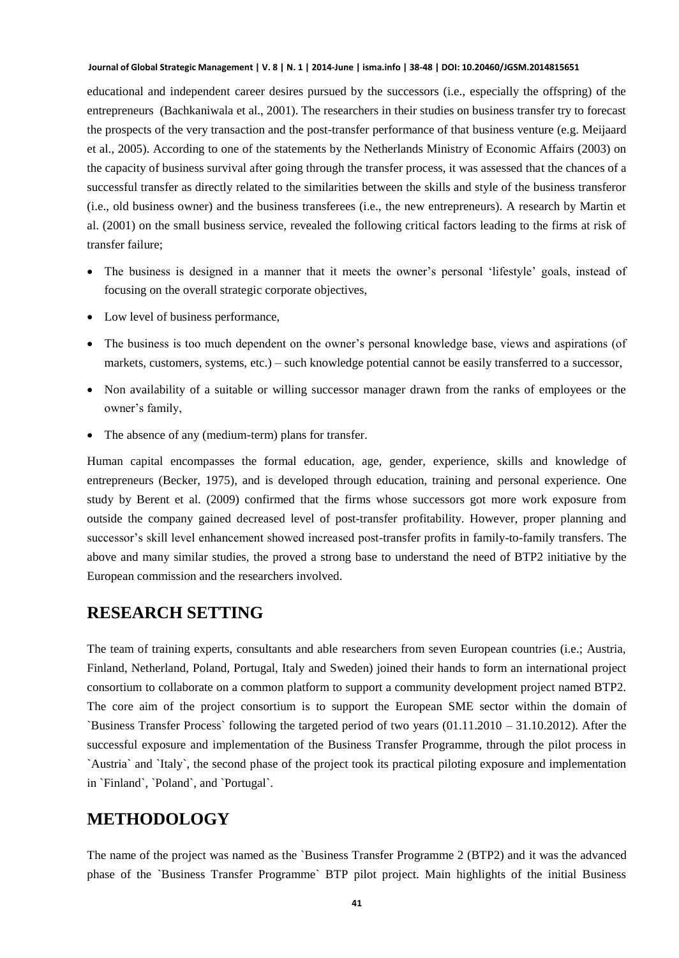educational and independent career desires pursued by the successors (i.e., especially the offspring) of the entrepreneurs (Bachkaniwala et al., 2001). The researchers in their studies on business transfer try to forecast the prospects of the very transaction and the post-transfer performance of that business venture (e.g. Meijaard et al., 2005). According to one of the statements by the Netherlands Ministry of Economic Affairs (2003) on the capacity of business survival after going through the transfer process, it was assessed that the chances of a successful transfer as directly related to the similarities between the skills and style of the business transferor (i.e., old business owner) and the business transferees (i.e., the new entrepreneurs). A research by Martin et al. (2001) on the small business service, revealed the following critical factors leading to the firms at risk of transfer failure;

- The business is designed in a manner that it meets the owner's personal 'lifestyle' goals, instead of focusing on the overall strategic corporate objectives,
- Low level of business performance,
- The business is too much dependent on the owner's personal knowledge base, views and aspirations (of markets, customers, systems, etc.) – such knowledge potential cannot be easily transferred to a successor,
- Non availability of a suitable or willing successor manager drawn from the ranks of employees or the owner's family,
- The absence of any (medium-term) plans for transfer.

Human capital encompasses the formal education, age, gender, experience, skills and knowledge of entrepreneurs (Becker, 1975), and is developed through education, training and personal experience. One study by Berent et al. (2009) confirmed that the firms whose successors got more work exposure from outside the company gained decreased level of post-transfer profitability. However, proper planning and successor's skill level enhancement showed increased post-transfer profits in family-to-family transfers. The above and many similar studies, the proved a strong base to understand the need of BTP2 initiative by the European commission and the researchers involved.

## **RESEARCH SETTING**

The team of training experts, consultants and able researchers from seven European countries (i.e.; Austria, Finland, Netherland, Poland, Portugal, Italy and Sweden) joined their hands to form an international project consortium to collaborate on a common platform to support a community development project named BTP2. The core aim of the project consortium is to support the European SME sector within the domain of `Business Transfer Process` following the targeted period of two years (01.11.2010 – 31.10.2012). After the successful exposure and implementation of the Business Transfer Programme, through the pilot process in `Austria` and `Italy`, the second phase of the project took its practical piloting exposure and implementation in `Finland`, `Poland`, and `Portugal`.

## **METHODOLOGY**

The name of the project was named as the `Business Transfer Programme 2 (BTP2) and it was the advanced phase of the `Business Transfer Programme` BTP pilot project. Main highlights of the initial Business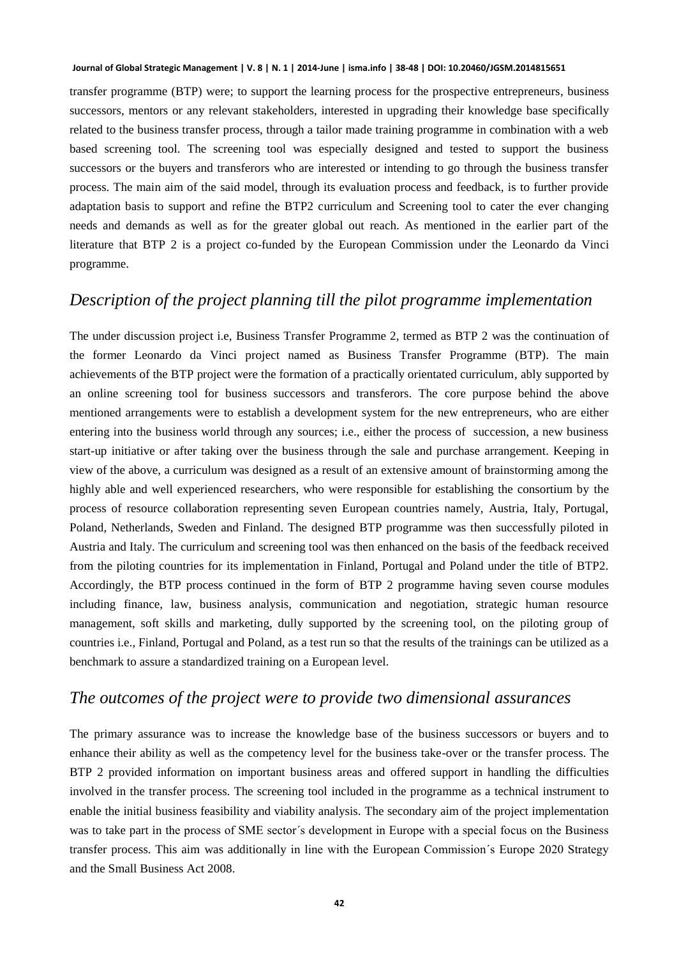transfer programme (BTP) were; to support the learning process for the prospective entrepreneurs, business successors, mentors or any relevant stakeholders, interested in upgrading their knowledge base specifically related to the business transfer process, through a tailor made training programme in combination with a web based screening tool. The screening tool was especially designed and tested to support the business successors or the buyers and transferors who are interested or intending to go through the business transfer process. The main aim of the said model, through its evaluation process and feedback, is to further provide adaptation basis to support and refine the BTP2 curriculum and Screening tool to cater the ever changing needs and demands as well as for the greater global out reach. As mentioned in the earlier part of the literature that BTP 2 is a project co-funded by the European Commission under the Leonardo da Vinci programme.

# *Description of the project planning till the pilot programme implementation*

The under discussion project i.e, Business Transfer Programme 2, termed as BTP 2 was the continuation of the former Leonardo da Vinci project named as Business Transfer Programme (BTP). The main achievements of the BTP project were the formation of a practically orientated curriculum, ably supported by an online screening tool for business successors and transferors. The core purpose behind the above mentioned arrangements were to establish a development system for the new entrepreneurs, who are either entering into the business world through any sources; i.e., either the process of succession, a new business start-up initiative or after taking over the business through the sale and purchase arrangement. Keeping in view of the above, a curriculum was designed as a result of an extensive amount of brainstorming among the highly able and well experienced researchers, who were responsible for establishing the consortium by the process of resource collaboration representing seven European countries namely, Austria, Italy, Portugal, Poland, Netherlands, Sweden and Finland. The designed BTP programme was then successfully piloted in Austria and Italy. The curriculum and screening tool was then enhanced on the basis of the feedback received from the piloting countries for its implementation in Finland, Portugal and Poland under the title of BTP2. Accordingly, the BTP process continued in the form of BTP 2 programme having seven course modules including finance, law, business analysis, communication and negotiation, strategic human resource management, soft skills and marketing, dully supported by the screening tool, on the piloting group of countries i.e., Finland, Portugal and Poland, as a test run so that the results of the trainings can be utilized as a benchmark to assure a standardized training on a European level.

## *The outcomes of the project were to provide two dimensional assurances*

The primary assurance was to increase the knowledge base of the business successors or buyers and to enhance their ability as well as the competency level for the business take-over or the transfer process. The BTP 2 provided information on important business areas and offered support in handling the difficulties involved in the transfer process. The screening tool included in the programme as a technical instrument to enable the initial business feasibility and viability analysis. The secondary aim of the project implementation was to take part in the process of SME sector´s development in Europe with a special focus on the Business transfer process. This aim was additionally in line with the European Commission´s Europe 2020 Strategy and the Small Business Act 2008.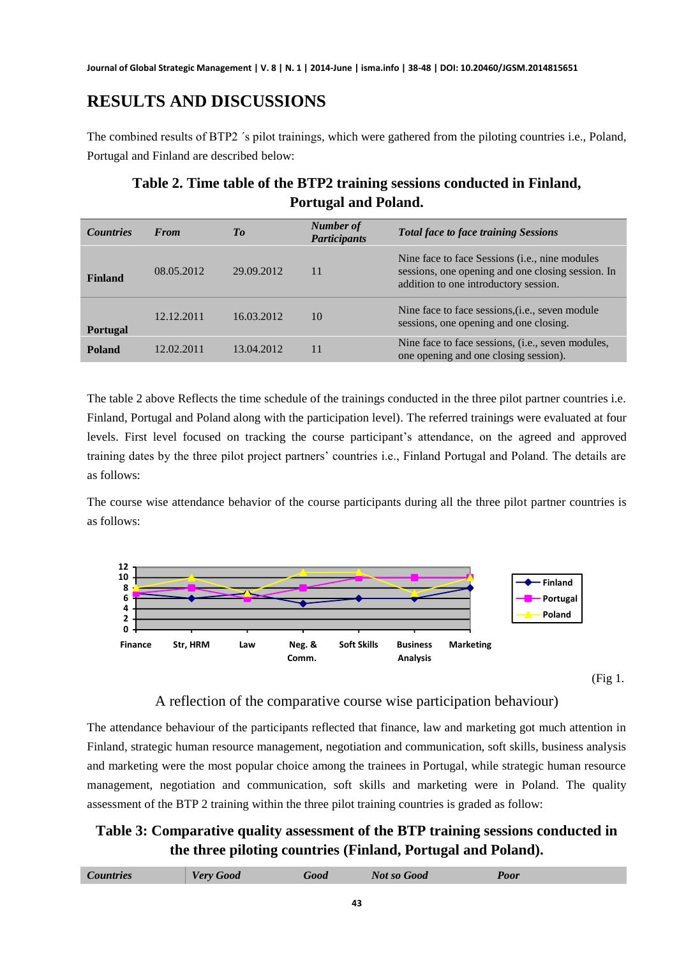# **RESULTS AND DISCUSSIONS**

The combined results of BTP2 ´s pilot trainings, which were gathered from the piloting countries i.e., Poland, Portugal and Finland are described below:

# **Table 2. Time table of the BTP2 training sessions conducted in Finland, Portugal and Poland.**

| <b>Countries</b> | <b>From</b> | To         | Number of<br><b>Participants</b> | <b>Total face to face training Sessions</b>                                                                                                           |
|------------------|-------------|------------|----------------------------------|-------------------------------------------------------------------------------------------------------------------------------------------------------|
| <b>Finland</b>   | 08.05.2012  | 29.09.2012 | 11                               | Nine face to face Sessions ( <i>i.e.</i> , nine modules<br>sessions, one opening and one closing session. In<br>addition to one introductory session. |
| <b>Portugal</b>  | 12.12.2011  | 16.03.2012 | 10                               | Nine face to face sessions, ( <i>i.e.</i> , seven module<br>sessions, one opening and one closing.                                                    |
| Poland           | 12.02.2011  | 13.04.2012 | 11                               | Nine face to face sessions, ( <i>i.e.</i> , seven modules,<br>one opening and one closing session).                                                   |

The table 2 above Reflects the time schedule of the trainings conducted in the three pilot partner countries i.e. Finland, Portugal and Poland along with the participation level). The referred trainings were evaluated at four levels. First level focused on tracking the course participant's attendance, on the agreed and approved training dates by the three pilot project partners' countries i.e., Finland Portugal and Poland. The details are as follows:

The course wise attendance behavior of the course participants during all the three pilot partner countries is as follows:



(Fig 1.

# A reflection of the comparative course wise participation behaviour)

The attendance behaviour of the participants reflected that finance, law and marketing got much attention in Finland, strategic human resource management, negotiation and communication, soft skills, business analysis and marketing were the most popular choice among the trainees in Portugal, while strategic human resource management, negotiation and communication, soft skills and marketing were in Poland. The quality assessment of the BTP 2 training within the three pilot training countries is graded as follow:

# **Table 3: Comparative quality assessment of the BTP training sessions conducted in the three piloting countries (Finland, Portugal and Poland).**

| <b>Countries</b> | <b>Very Good</b> | Good | <b>Not so Good</b> | Poor |
|------------------|------------------|------|--------------------|------|
|                  |                  |      |                    |      |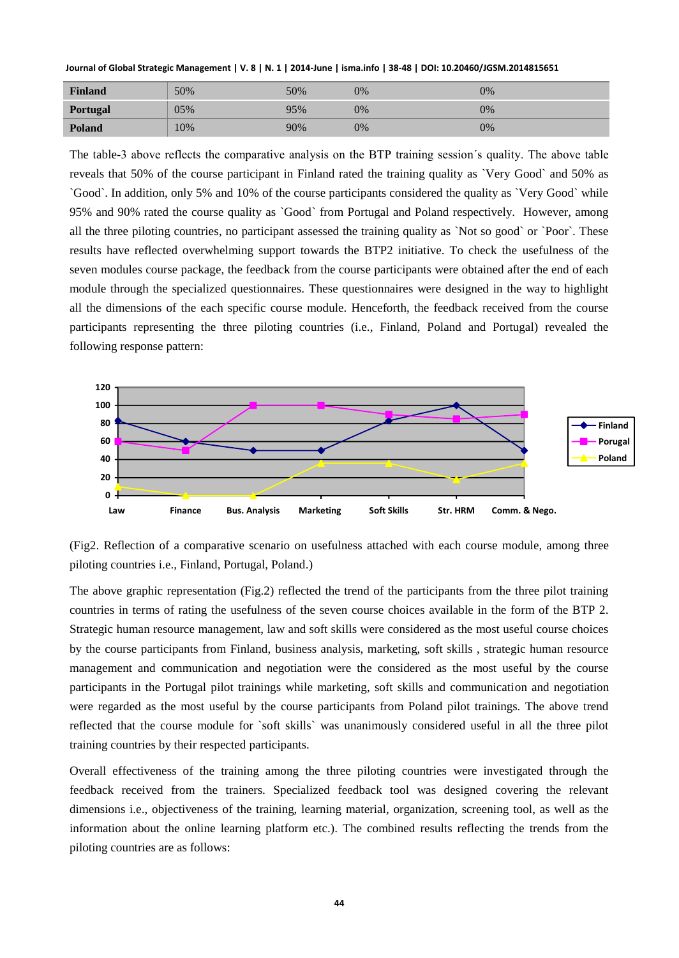| <b>Finland</b>  | 50% | 50% | 0% | 0%    |
|-----------------|-----|-----|----|-------|
| <b>Portugal</b> | 05% | 95% | 0% | $0\%$ |
| <b>Poland</b>   | 10% | 90% | 0% | 0%    |

The table-3 above reflects the comparative analysis on the BTP training session´s quality. The above table reveals that 50% of the course participant in Finland rated the training quality as `Very Good` and 50% as `Good`. In addition, only 5% and 10% of the course participants considered the quality as `Very Good` while 95% and 90% rated the course quality as `Good` from Portugal and Poland respectively. However, among all the three piloting countries, no participant assessed the training quality as `Not so good` or `Poor`. These results have reflected overwhelming support towards the BTP2 initiative. To check the usefulness of the seven modules course package, the feedback from the course participants were obtained after the end of each module through the specialized questionnaires. These questionnaires were designed in the way to highlight all the dimensions of the each specific course module. Henceforth, the feedback received from the course participants representing the three piloting countries (i.e., Finland, Poland and Portugal) revealed the following response pattern:



(Fig2. Reflection of a comparative scenario on usefulness attached with each course module, among three piloting countries i.e., Finland, Portugal, Poland.)

The above graphic representation (Fig.2) reflected the trend of the participants from the three pilot training countries in terms of rating the usefulness of the seven course choices available in the form of the BTP 2. Strategic human resource management, law and soft skills were considered as the most useful course choices by the course participants from Finland, business analysis, marketing, soft skills , strategic human resource management and communication and negotiation were the considered as the most useful by the course participants in the Portugal pilot trainings while marketing, soft skills and communication and negotiation were regarded as the most useful by the course participants from Poland pilot trainings. The above trend reflected that the course module for `soft skills` was unanimously considered useful in all the three pilot training countries by their respected participants.

Overall effectiveness of the training among the three piloting countries were investigated through the feedback received from the trainers. Specialized feedback tool was designed covering the relevant dimensions i.e., objectiveness of the training, learning material, organization, screening tool, as well as the information about the online learning platform etc.). The combined results reflecting the trends from the piloting countries are as follows: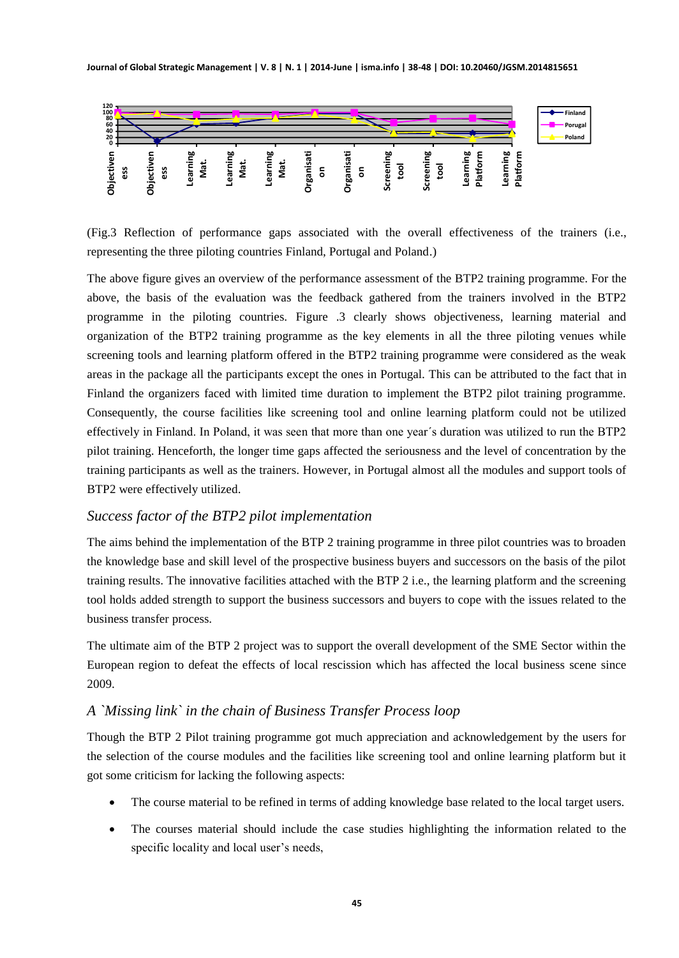

(Fig.3 Reflection of performance gaps associated with the overall effectiveness of the trainers (i.e., representing the three piloting countries Finland, Portugal and Poland.)

The above figure gives an overview of the performance assessment of the BTP2 training programme. For the above, the basis of the evaluation was the feedback gathered from the trainers involved in the BTP2 programme in the piloting countries. Figure .3 clearly shows objectiveness, learning material and organization of the BTP2 training programme as the key elements in all the three piloting venues while screening tools and learning platform offered in the BTP2 training programme were considered as the weak areas in the package all the participants except the ones in Portugal. This can be attributed to the fact that in Finland the organizers faced with limited time duration to implement the BTP2 pilot training programme. Consequently, the course facilities like screening tool and online learning platform could not be utilized effectively in Finland. In Poland, it was seen that more than one year´s duration was utilized to run the BTP2 pilot training. Henceforth, the longer time gaps affected the seriousness and the level of concentration by the training participants as well as the trainers. However, in Portugal almost all the modules and support tools of BTP2 were effectively utilized.

### *Success factor of the BTP2 pilot implementation*

The aims behind the implementation of the BTP 2 training programme in three pilot countries was to broaden the knowledge base and skill level of the prospective business buyers and successors on the basis of the pilot training results. The innovative facilities attached with the BTP 2 i.e., the learning platform and the screening tool holds added strength to support the business successors and buyers to cope with the issues related to the business transfer process.

The ultimate aim of the BTP 2 project was to support the overall development of the SME Sector within the European region to defeat the effects of local rescission which has affected the local business scene since 2009.

### *A `Missing link` in the chain of Business Transfer Process loop*

Though the BTP 2 Pilot training programme got much appreciation and acknowledgement by the users for the selection of the course modules and the facilities like screening tool and online learning platform but it got some criticism for lacking the following aspects:

- The course material to be refined in terms of adding knowledge base related to the local target users.
- The courses material should include the case studies highlighting the information related to the specific locality and local user's needs,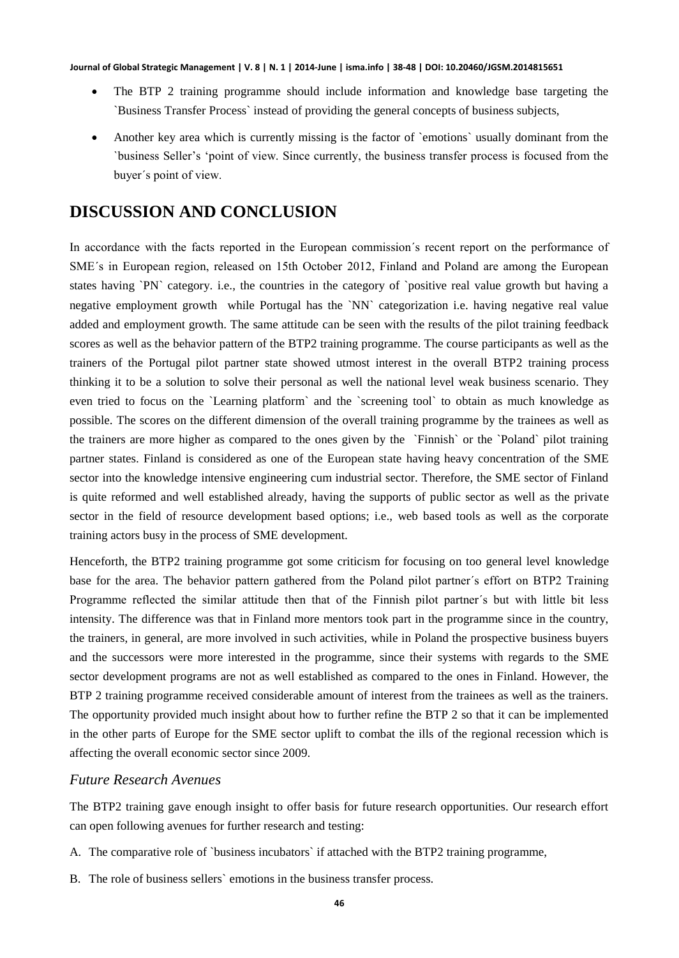- The BTP 2 training programme should include information and knowledge base targeting the `Business Transfer Process` instead of providing the general concepts of business subjects,
- Another key area which is currently missing is the factor of `emotions` usually dominant from the `business Seller's 'point of view. Since currently, the business transfer process is focused from the buyer´s point of view.

# **DISCUSSION AND CONCLUSION**

In accordance with the facts reported in the European commission´s recent report on the performance of SME´s in European region, released on 15th October 2012, Finland and Poland are among the European states having `PN` category. i.e., the countries in the category of `positive real value growth but having a negative employment growth while Portugal has the `NN` categorization i.e. having negative real value added and employment growth. The same attitude can be seen with the results of the pilot training feedback scores as well as the behavior pattern of the BTP2 training programme. The course participants as well as the trainers of the Portugal pilot partner state showed utmost interest in the overall BTP2 training process thinking it to be a solution to solve their personal as well the national level weak business scenario. They even tried to focus on the `Learning platform` and the `screening tool` to obtain as much knowledge as possible. The scores on the different dimension of the overall training programme by the trainees as well as the trainers are more higher as compared to the ones given by the `Finnish` or the `Poland` pilot training partner states. Finland is considered as one of the European state having heavy concentration of the SME sector into the knowledge intensive engineering cum industrial sector. Therefore, the SME sector of Finland is quite reformed and well established already, having the supports of public sector as well as the private sector in the field of resource development based options; i.e., web based tools as well as the corporate training actors busy in the process of SME development.

Henceforth, the BTP2 training programme got some criticism for focusing on too general level knowledge base for the area. The behavior pattern gathered from the Poland pilot partner´s effort on BTP2 Training Programme reflected the similar attitude then that of the Finnish pilot partner´s but with little bit less intensity. The difference was that in Finland more mentors took part in the programme since in the country, the trainers, in general, are more involved in such activities, while in Poland the prospective business buyers and the successors were more interested in the programme, since their systems with regards to the SME sector development programs are not as well established as compared to the ones in Finland. However, the BTP 2 training programme received considerable amount of interest from the trainees as well as the trainers. The opportunity provided much insight about how to further refine the BTP 2 so that it can be implemented in the other parts of Europe for the SME sector uplift to combat the ills of the regional recession which is affecting the overall economic sector since 2009.

### *Future Research Avenues*

The BTP2 training gave enough insight to offer basis for future research opportunities. Our research effort can open following avenues for further research and testing:

- A. The comparative role of `business incubators` if attached with the BTP2 training programme,
- B. The role of business sellers` emotions in the business transfer process.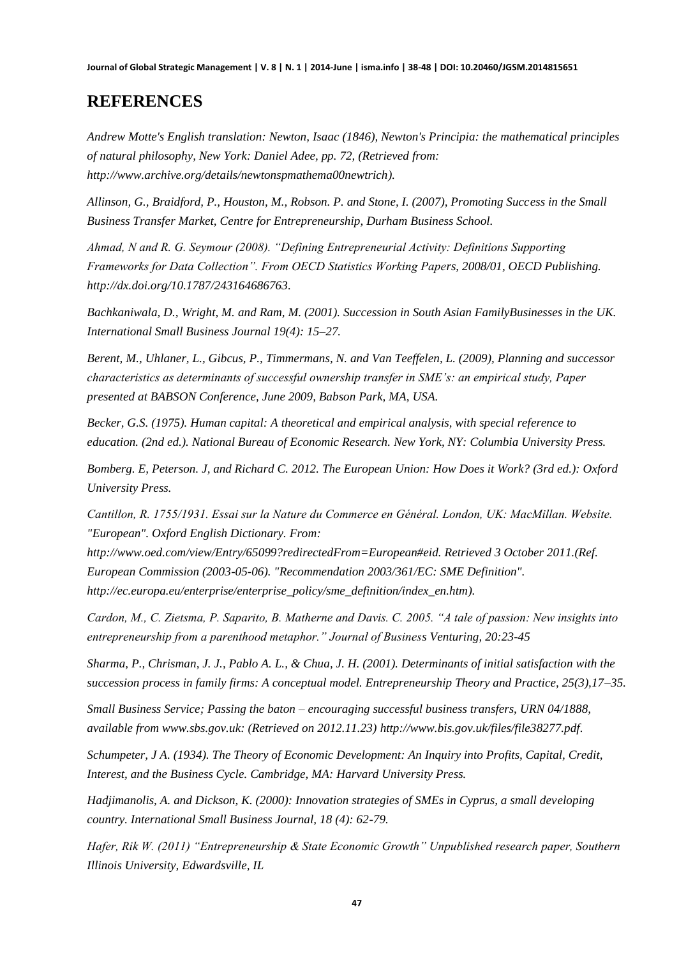# **REFERENCES**

*Andrew Motte's English translation: Newton, Isaac (1846), Newton's Principia: the mathematical principles of natural philosophy, New York: Daniel Adee, pp. 72, (Retrieved from: [http://www.archive.org/details/newtonspmathema00newtrich\)](http://www.archive.org/details/newtonspmathema00newtrich).* 

*Allinson, G., Braidford, P., Houston, M., Robson. P. and Stone, I. (2007), Promoting Success in the Small Business Transfer Market, Centre for Entrepreneurship, Durham Business School.* 

*Ahmad, N and R. G. Seymour (2008). "Defining Entrepreneurial Activity: Definitions Supporting Frameworks for Data Collection". From OECD Statistics Working Papers, 2008/01, OECD Publishing. [http://dx.doi.org/10.1787/243164686763.](http://dx.doi.org/10.1787/243164686763)* 

*Bachkaniwala, D., Wright, M. and Ram, M. (2001). Succession in South Asian FamilyBusinesses in the UK. International Small Business Journal 19(4): 15–27.* 

*Berent, M., Uhlaner, L., Gibcus, P., Timmermans, N. and Van Teeffelen, L. (2009), Planning and successor characteristics as determinants of successful ownership transfer in SME's: an empirical study, Paper presented at BABSON Conference, June 2009, Babson Park, MA, USA.* 

*Becker, G.S. (1975). Human capital: A theoretical and empirical analysis, with special reference to education. (2nd ed.). National Bureau of Economic Research. New York, NY: Columbia University Press.* 

*Bomberg. E, Peterson. J, and Richard C. 2012. The European Union: How Does it Work? (3rd ed.): Oxford University Press.* 

*Cantillon, R. 1755/1931. Essai sur la Nature du Commerce en Général. London, UK: MacMillan. Website. "European". Oxford English Dictionary. From:* 

*http://www.oed.com/view/Entry/65099?redirectedFrom=European#eid. Retrieved 3 October 2011.(Ref. European Commission (2003-05-06). "Recommendation 2003/361/EC: SME Definition". [http://ec.europa.eu/enterprise/enterprise\\_policy/sme\\_definition/index\\_en.htm\)](http://ec.europa.eu/enterprise/enterprise_policy/sme_definition/index_en.htm).*

*Cardon, M., C. Zietsma, P. Saparito, B. Matherne and Davis. C. 2005. "A tale of passion: New insights into entrepreneurship from a parenthood metaphor." Journal of Business Venturing, 20:23-45*

*Sharma, P., Chrisman, J. J., Pablo A. L., & Chua, J. H. (2001). Determinants of initial satisfaction with the succession process in family firms: A conceptual model. Entrepreneurship Theory and Practice, 25(3),17–35.* 

*Small Business Service; Passing the baton – encouraging successful business transfers, URN 04/1888, available from www.sbs.gov.uk: (Retrieved on 2012.11.23) [http://www.bis.gov.uk/files/file38277.pdf.](http://www.bis.gov.uk/files/file38277.pdf)* 

*Schumpeter, J A. (1934). The Theory of Economic Development: An Inquiry into Profits, Capital, Credit, Interest, and the Business Cycle. Cambridge, MA: Harvard University Press.* 

*Hadjimanolis, A. and Dickson, K. (2000): Innovation strategies of SMEs in Cyprus, a small developing country. International Small Business Journal, 18 (4): 62-79.* 

*Hafer, Rik W. (2011) "Entrepreneurship & State Economic Growth" Unpublished research paper, Southern Illinois University, Edwardsville, IL*